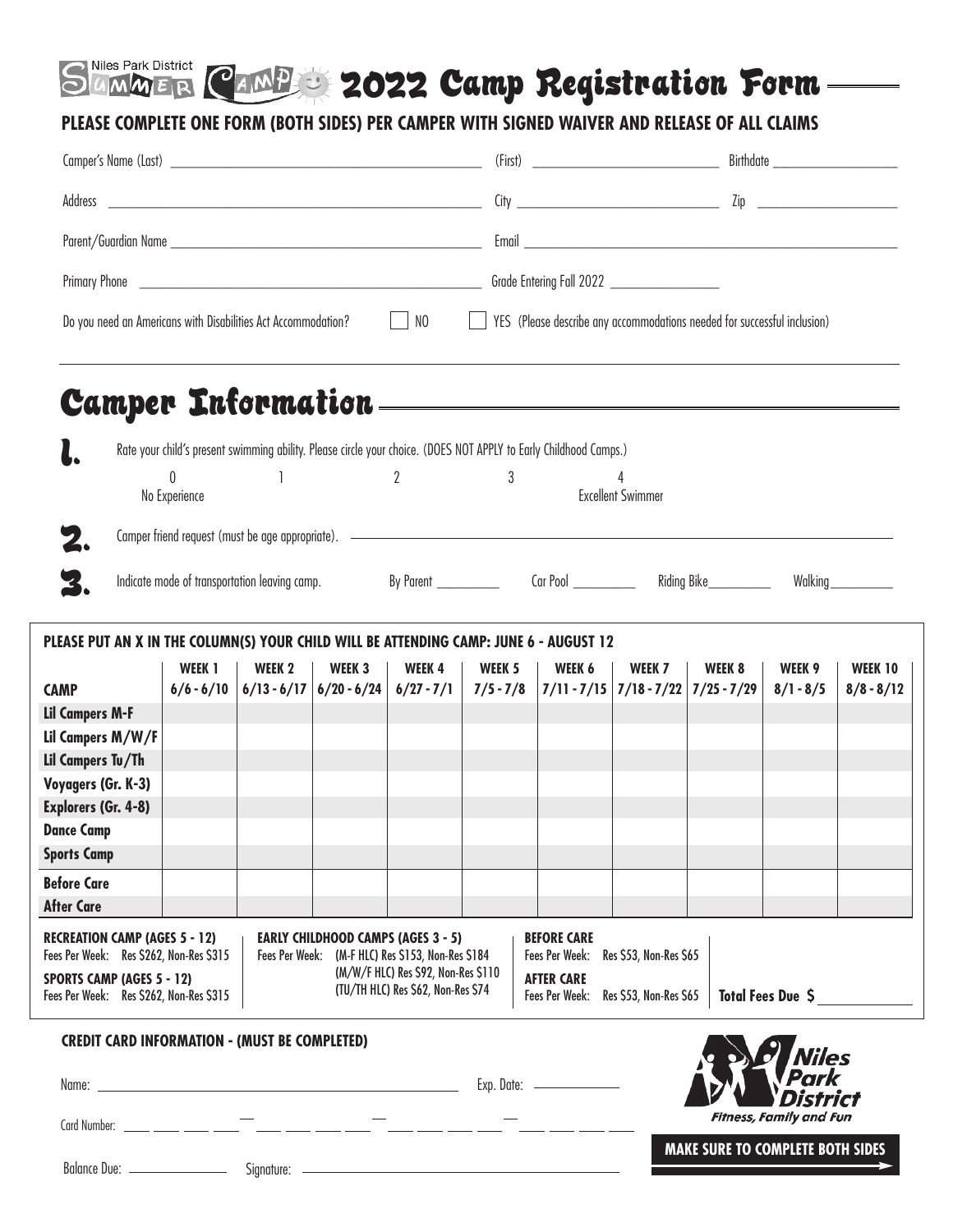# **2022 Camp Registration Form**

### **PLEASE COMPLETE ONE FORM (BOTH SIDES) PER CAMPER WITH SIGNED WAIVER AND RELEASE OF ALL CLAIMS**

| Address                                                                                                                                                        |                                                                                                                                            |        |        |                                                                                                                                                                             |                               |                                                                                                                                                   |        |                                         |                                |                                |  |
|----------------------------------------------------------------------------------------------------------------------------------------------------------------|--------------------------------------------------------------------------------------------------------------------------------------------|--------|--------|-----------------------------------------------------------------------------------------------------------------------------------------------------------------------------|-------------------------------|---------------------------------------------------------------------------------------------------------------------------------------------------|--------|-----------------------------------------|--------------------------------|--------------------------------|--|
|                                                                                                                                                                |                                                                                                                                            |        |        |                                                                                                                                                                             |                               |                                                                                                                                                   |        |                                         |                                |                                |  |
|                                                                                                                                                                |                                                                                                                                            |        |        |                                                                                                                                                                             |                               |                                                                                                                                                   |        |                                         |                                |                                |  |
| Do you need an Americans with Disabilities Act Accommodation?                                                                                                  |                                                                                                                                            |        |        | $\Box$ NO                                                                                                                                                                   |                               | YES (Please describe any accommodations needed for successful inclusion)                                                                          |        |                                         |                                |                                |  |
|                                                                                                                                                                |                                                                                                                                            |        |        |                                                                                                                                                                             |                               |                                                                                                                                                   |        |                                         |                                |                                |  |
| <b>Camper Information</b>                                                                                                                                      |                                                                                                                                            |        |        |                                                                                                                                                                             |                               | <u> 1989 - Johann Stoff, fransk politik (f. 1989)</u>                                                                                             |        |                                         |                                |                                |  |
|                                                                                                                                                                | Rate your child's present swimming ability. Please circle your choice. (DOES NOT APPLY to Early Childhood Camps.)                          |        |        |                                                                                                                                                                             |                               |                                                                                                                                                   |        |                                         |                                |                                |  |
| 0<br>No Experience                                                                                                                                             |                                                                                                                                            |        |        | $\overline{2}$                                                                                                                                                              | 3<br><b>Excellent Swimmer</b> |                                                                                                                                                   |        |                                         |                                |                                |  |
|                                                                                                                                                                |                                                                                                                                            |        |        |                                                                                                                                                                             |                               |                                                                                                                                                   |        |                                         |                                |                                |  |
|                                                                                                                                                                |                                                                                                                                            |        |        |                                                                                                                                                                             |                               |                                                                                                                                                   |        |                                         |                                |                                |  |
| З.                                                                                                                                                             | Indicate mode of transportation leaving camp. 60 By Parent ______________ Car Pool ___________ Riding Bike__________<br>Walking __________ |        |        |                                                                                                                                                                             |                               |                                                                                                                                                   |        |                                         |                                |                                |  |
| PLEASE PUT AN X IN THE COLUMN(S) YOUR CHILD WILL BE ATTENDING CAMP: JUNE 6 - AUGUST 12                                                                         |                                                                                                                                            |        |        |                                                                                                                                                                             |                               |                                                                                                                                                   |        |                                         |                                |                                |  |
| <b>CAMP</b>                                                                                                                                                    | WEEK 1<br>$6/6 - 6/10$                                                                                                                     | WEEK 2 | WEEK 3 | WEEK4                                                                                                                                                                       | WEEK 5                        | WEEK 6<br>$6/13 - 6/17$ $6/20 - 6/24$ $6/27 - 7/1$ $7/5 - 7/8$ $7/11 - 7/15$ $7/18 - 7/22$ $7/25 - 7/29$                                          | WEEK 7 | WEEK 8                                  | WEEK 9<br>$8/1 - 8/5$          | <b>WEEK 10</b><br>$8/8 - 8/12$ |  |
| <b>Lil Campers M-F</b>                                                                                                                                         |                                                                                                                                            |        |        |                                                                                                                                                                             |                               |                                                                                                                                                   |        |                                         |                                |                                |  |
| Lil Campers M/W/F                                                                                                                                              |                                                                                                                                            |        |        |                                                                                                                                                                             |                               |                                                                                                                                                   |        |                                         |                                |                                |  |
| Lil Campers Tu/Th                                                                                                                                              |                                                                                                                                            |        |        |                                                                                                                                                                             |                               |                                                                                                                                                   |        |                                         |                                |                                |  |
| Voyagers (Gr. K-3)                                                                                                                                             |                                                                                                                                            |        |        |                                                                                                                                                                             |                               |                                                                                                                                                   |        |                                         |                                |                                |  |
| <b>Explorers (Gr. 4-8)</b>                                                                                                                                     |                                                                                                                                            |        |        |                                                                                                                                                                             |                               |                                                                                                                                                   |        |                                         |                                |                                |  |
| <b>Dance Camp</b>                                                                                                                                              |                                                                                                                                            |        |        |                                                                                                                                                                             |                               |                                                                                                                                                   |        |                                         |                                |                                |  |
| <b>Sports Camp</b>                                                                                                                                             |                                                                                                                                            |        |        |                                                                                                                                                                             |                               |                                                                                                                                                   |        |                                         |                                |                                |  |
| <b>Before Care</b>                                                                                                                                             |                                                                                                                                            |        |        |                                                                                                                                                                             |                               |                                                                                                                                                   |        |                                         |                                |                                |  |
| <b>After Care</b>                                                                                                                                              |                                                                                                                                            |        |        |                                                                                                                                                                             |                               |                                                                                                                                                   |        |                                         |                                |                                |  |
| <b>RECREATION CAMP (AGES 5 - 12)</b><br>Fees Per Week: Res \$262, Non-Res \$315<br><b>SPORTS CAMP (AGES 5 - 12)</b><br>Fees Per Week: Res \$262, Non-Res \$315 |                                                                                                                                            |        |        | <b>EARLY CHILDHOOD CAMPS (AGES 3 - 5)</b><br>Fees Per Week: (M-F HLC) Res \$153, Non-Res \$184<br>(M/W/F HLC) Res \$92, Non-Res \$110<br>(TU/TH HLC) Res \$62, Non-Res \$74 |                               | <b>BEFORE CARE</b><br>Res \$53, Non-Res \$65<br>Fees Per Week:<br><b>AFTER CARE</b><br>Total Fees Due \$<br>Fees Per Week: Res \$53, Non-Res \$65 |        |                                         |                                |                                |  |
| <b>CREDIT CARD INFORMATION - (MUST BE COMPLETED)</b>                                                                                                           |                                                                                                                                            |        |        |                                                                                                                                                                             |                               |                                                                                                                                                   |        |                                         | Viles                          |                                |  |
|                                                                                                                                                                |                                                                                                                                            |        |        |                                                                                                                                                                             |                               | Exp. Date:                                                                                                                                        |        |                                         | Park<br>District               |                                |  |
|                                                                                                                                                                |                                                                                                                                            |        |        |                                                                                                                                                                             |                               |                                                                                                                                                   |        |                                         | <b>Fitness, Family and Fun</b> |                                |  |
|                                                                                                                                                                |                                                                                                                                            |        |        |                                                                                                                                                                             |                               |                                                                                                                                                   |        | <b>MAKE SURE TO COMPLETE BOTH SIDES</b> |                                |                                |  |

Signature: